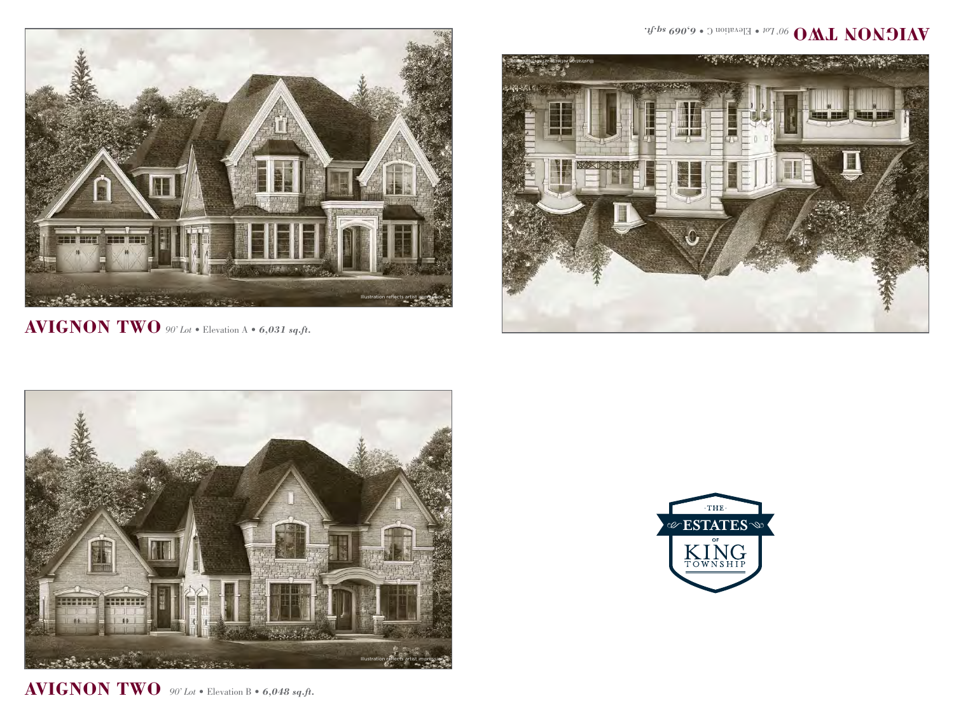

 $\mathbf{AVIGNON\textcolor{red}{TWO}}$   $\circ$   $\circ$   $\iota$   $\circ$   $\cdot$  Elevation A  $\bullet$  6,031 sq.ft.







 $\mathbf{AVIGNON\textcolor{red}{TWO}}$   $\ ^{90^{\circ} \textcolor{red}{Lot}}$  • Elevation B • 6,048 sq.ft.

## $f^{4fbs}$  690'9 · Duorienal 1 · <sup>107</sup>.06 **OML NONDIAV**